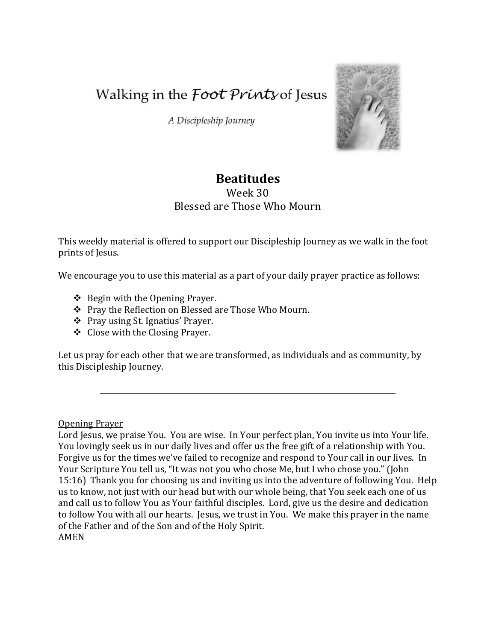Walking in the *Foot Prints* of Jesus

A Discipleship Journey



# **Beatitudes**

# Week 30 Blessed are Those Who Mourn

This weekly material is offered to support our Discipleship Journey as we walk in the foot prints of Jesus.

We encourage you to use this material as a part of your daily prayer practice as follows:

- $\div$  Begin with the Opening Prayer.
- Pray the Reflection on Blessed are Those Who Mourn.
- Pray using St. Ignatius' Prayer.
- Close with the Closing Prayer.

Let us pray for each other that we are transformed, as individuals and as community, by this Discipleship Journey.

\_\_\_\_\_\_\_\_\_\_\_\_\_\_\_\_\_\_\_\_\_\_\_\_\_\_\_\_\_\_\_\_\_\_\_\_\_\_\_\_\_\_\_\_\_\_\_\_\_\_\_\_\_\_\_\_\_\_\_\_\_\_\_\_\_\_\_\_\_\_\_\_\_\_\_\_\_\_\_\_\_\_

Opening Prayer

Lord Jesus, we praise You. You are wise. In Your perfect plan, You invite us into Your life. You lovingly seek us in our daily lives and offer us the free gift of a relationship with You. Forgive us for the times we've failed to recognize and respond to Your call in our lives. In Your Scripture You tell us, "It was not you who chose Me, but I who chose you." (John 15:16) Thank you for choosing us and inviting us into the adventure of following You. Help us to know, not just with our head but with our whole being, that You seek each one of us and call us to follow You as Your faithful disciples. Lord, give us the desire and dedication to follow You with all our hearts. Jesus, we trust in You. We make this prayer in the name of the Father and of the Son and of the Holy Spirit.

AMEN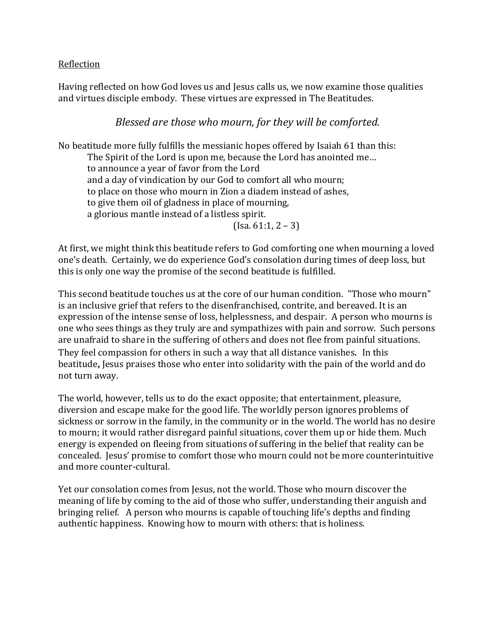#### Reflection

Having reflected on how God loves us and Jesus calls us, we now examine those qualities and virtues disciple embody. These virtues are expressed in The Beatitudes.

# *Blessed are those who mourn, for they will be comforted.*

No beatitude more fully fulfills the messianic hopes offered by Isaiah 61 than this: The Spirit of the Lord is upon me, because the Lord has anointed me… to announce a year of favor from the Lord and a day of vindication by our God to comfort all who mourn; to place on those who mourn in Zion a diadem instead of ashes, to give them oil of gladness in place of mourning, a glorious mantle instead of a listless spirit.  $($ Isa. 61:1, 2 – 3)

At first, we might think this beatitude refers to God comforting one when mourning a loved one's death. Certainly, we do experience God's consolation during times of deep loss, but this is only one way the promise of the second beatitude is fulfilled.

This second beatitude touches us at the core of our human condition. "Those who mourn" is an inclusive grief that refers to the disenfranchised, contrite, and bereaved. It is an expression of the intense sense of loss, helplessness, and despair. A person who mourns is one who sees things as they truly are and sympathizes with pain and sorrow. Such persons are unafraid to share in the suffering of others and does not flee from painful situations. They feel compassion for others in such a way that all distance vanishes. In this beatitude**,** Jesus praises those who enter into solidarity with the pain of the world and do not turn away.

The world, however, tells us to do the exact opposite; that entertainment, pleasure, diversion and escape make for the good life. The worldly person ignores problems of sickness or sorrow in the family, in the community or in the world. The world has no desire to mourn; it would rather disregard painful situations, cover them up or hide them. Much energy is expended on fleeing from situations of suffering in the belief that reality can be concealed. Jesus' promise to comfort those who mourn could not be more counterintuitive and more counter-cultural.

Yet our consolation comes from Jesus, not the world. Those who mourn discover the meaning of life by coming to the aid of those who suffer, understanding their anguish and bringing relief. A person who mourns is capable of touching life's depths and finding authentic happiness. Knowing how to mourn with others: that is holiness.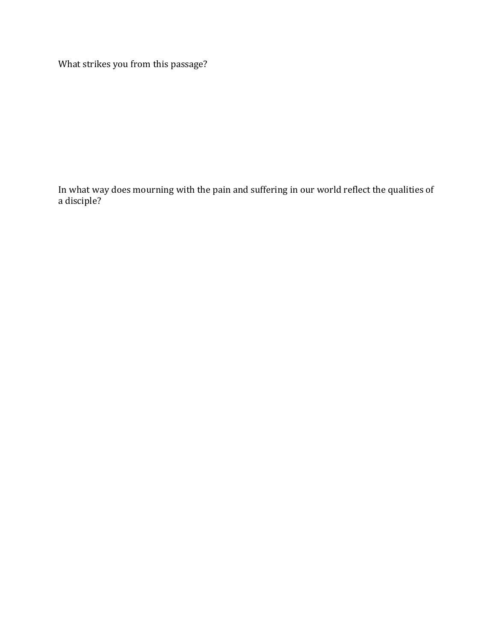What strikes you from this passage?

In what way does mourning with the pain and suffering in our world reflect the qualities of a disciple?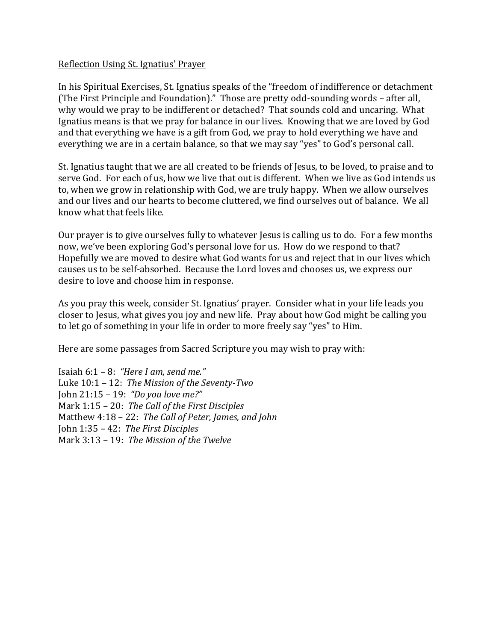#### Reflection Using St. Ignatius' Prayer

In his Spiritual Exercises, St. Ignatius speaks of the "freedom of indifference or detachment (The First Principle and Foundation)." Those are pretty odd-sounding words – after all, why would we pray to be indifferent or detached? That sounds cold and uncaring. What Ignatius means is that we pray for balance in our lives. Knowing that we are loved by God and that everything we have is a gift from God, we pray to hold everything we have and everything we are in a certain balance, so that we may say "yes" to God's personal call.

St. Ignatius taught that we are all created to be friends of Jesus, to be loved, to praise and to serve God. For each of us, how we live that out is different. When we live as God intends us to, when we grow in relationship with God, we are truly happy. When we allow ourselves and our lives and our hearts to become cluttered, we find ourselves out of balance. We all know what that feels like.

Our prayer is to give ourselves fully to whatever Jesus is calling us to do. For a few months now, we've been exploring God's personal love for us. How do we respond to that? Hopefully we are moved to desire what God wants for us and reject that in our lives which causes us to be self-absorbed. Because the Lord loves and chooses us, we express our desire to love and choose him in response.

As you pray this week, consider St. Ignatius' prayer. Consider what in your life leads you closer to Jesus, what gives you joy and new life. Pray about how God might be calling you to let go of something in your life in order to more freely say "yes" to Him.

Here are some passages from Sacred Scripture you may wish to pray with:

Isaiah 6:1 – 8: *"Here I am, send me."* Luke 10:1 – 12: *The Mission of the Seventy-Two* John 21:15 – 19: *"Do you love me?"* Mark 1:15 – 20: *The Call of the First Disciples* Matthew 4:18 – 22: *The Call of Peter, James, and John* John 1:35 – 42: *The First Disciples* Mark 3:13 – 19: *The Mission of the Twelve*